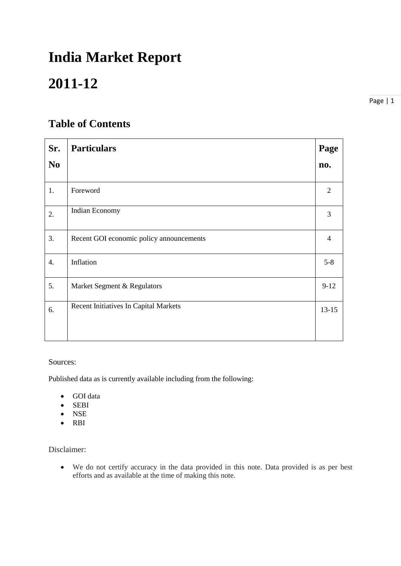# **India Market Report**

# **2011-12**

Page | 1

# **Table of Contents**

| Sr.              | <b>Particulars</b>                       | Page           |
|------------------|------------------------------------------|----------------|
| N <sub>0</sub>   |                                          | no.            |
| 1.               | Foreword                                 | 2              |
| 2.               | Indian Economy                           | 3              |
| 3.               | Recent GOI economic policy announcements | $\overline{4}$ |
| $\overline{4}$ . | Inflation                                | $5 - 8$        |
| 5.               | Market Segment & Regulators              | $9-12$         |
| 6.               | Recent Initiatives In Capital Markets    | $13-15$        |
|                  |                                          |                |

#### Sources:

Published data as is currently available including from the following:

- GOI data
- SEBI
- NSE
- RBI

Disclaimer:

 We do not certify accuracy in the data provided in this note. Data provided is as per best efforts and as available at the time of making this note.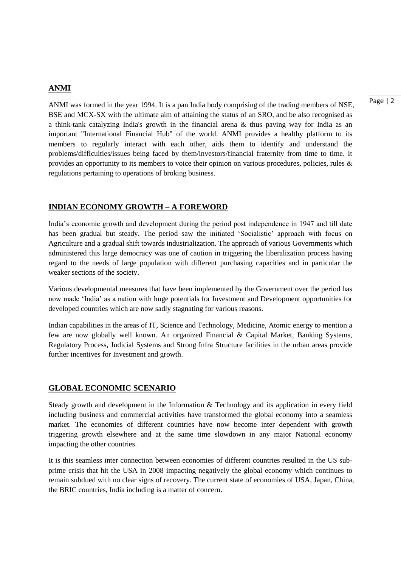#### **ANMI**

ANMI was formed in the year 1994. It is a pan India body comprising of the trading members of NSE, BSE and MCX-SX with the ultimate aim of attaining the status of an SRO, and be also recognised as a think-tank catalyzing India's growth in the financial arena & thus paving way for India as an important "International Financial Hub" of the world. ANMI provides a healthy platform to its members to regularly interact with each other, aids them to identify and understand the problems/difficulties/issues being faced by them/investors/financial fraternity from time to time. It provides an opportunity to its members to voice their opinion on various procedures, policies, rules & regulations pertaining to operations of broking business.

#### **INDIAN ECONOMY GROWTH – A FOREWORD**

India's economic growth and development during the period post independence in 1947 and till date has been gradual but steady. The period saw the initiated 'Socialistic' approach with focus on Agriculture and a gradual shift towards industrialization. The approach of various Governments which administered this large democracy was one of caution in triggering the liberalization process having regard to the needs of large population with different purchasing capacities and in particular the weaker sections of the society.

Various developmental measures that have been implemented by the Government over the period has now made 'India' as a nation with huge potentials for Investment and Development opportunities for developed countries which are now sadly stagnating for various reasons.

Indian capabilities in the areas of IT, Science and Technology, Medicine, Atomic energy to mention a few are now globally well known. An organized Financial & Capital Market, Banking Systems, Regulatory Process, Judicial Systems and Strong Infra Structure facilities in the urban areas provide further incentives for Investment and growth.

#### **GLOBAL ECONOMIC SCENARIO**

Steady growth and development in the Information & Technology and its application in every field including business and commercial activities have transformed the global economy into a seamless market. The economies of different countries have now become inter dependent with growth triggering growth elsewhere and at the same time slowdown in any major National economy impacting the other countries.

It is this seamless inter connection between economies of different countries resulted in the US subprime crisis that hit the USA in 2008 impacting negatively the global economy which continues to remain subdued with no clear signs of recovery. The current state of economies of USA, Japan, China, the BRIC countries, India including is a matter of concern.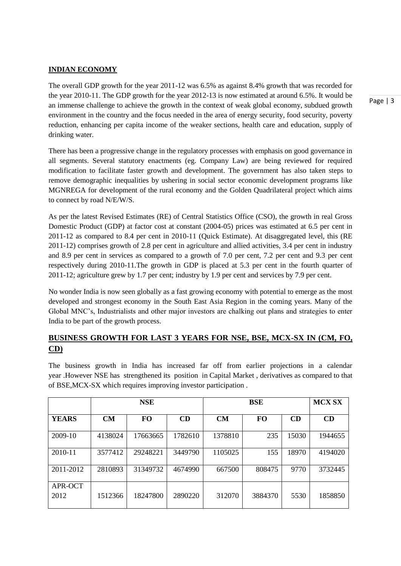#### **INDIAN ECONOMY**

The overall GDP growth for the year 2011-12 was 6.5% as against 8.4% growth that was recorded for the year 2010-11. The GDP growth for the year 2012-13 is now estimated at around 6.5%. It would be an immense challenge to achieve the growth in the context of weak global economy, subdued growth environment in the country and the focus needed in the area of energy security, food security, poverty reduction, enhancing per capita income of the weaker sections, health care and education, supply of drinking water.

There has been a progressive change in the regulatory processes with emphasis on good governance in all segments. Several statutory enactments (eg. Company Law) are being reviewed for required modification to facilitate faster growth and development. The government has also taken steps to remove demographic inequalities by ushering in social sector economic development programs like MGNREGA for development of the rural economy and the Golden Quadrilateral project which aims to connect by road N/E/W/S.

As per the latest Revised Estimates (RE) of Central Statistics Office (CSO), the growth in real Gross Domestic Product (GDP) at factor cost at constant (2004-05) prices was estimated at 6.5 per cent in 2011-12 as compared to 8.4 per cent in 2010-11 (Quick Estimate). At disaggregated level, this (RE 2011-12) comprises growth of 2.8 per cent in agriculture and allied activities, 3.4 per cent in industry and 8.9 per cent in services as compared to a growth of 7.0 per cent, 7.2 per cent and 9.3 per cent respectively during 2010-11.The growth in GDP is placed at 5.3 per cent in the fourth quarter of 2011-12; agriculture grew by 1.7 per cent; industry by 1.9 per cent and services by 7.9 per cent.

No wonder India is now seen globally as a fast growing economy with potential to emerge as the most developed and strongest economy in the South East Asia Region in the coming years. Many of the Global MNC's, Industrialists and other major investors are chalking out plans and strategies to enter India to be part of the growth process.

# **BUSINESS GROWTH FOR LAST 3 YEARS FOR NSE, BSE, MCX-SX IN (CM, FO, CD)**

The business growth in India has increased far off from earlier projections in a calendar year .However NSE has strengthened its position in Capital Market , derivatives as compared to that of BSE,MCX-SX which requires improving investor participation .

|                 |         | <b>NSE</b> |         |         | <b>MCX SX</b> |       |         |
|-----------------|---------|------------|---------|---------|---------------|-------|---------|
| <b>YEARS</b>    | CM      | <b>FO</b>  | CD      | CM      | <b>FO</b>     | CD    | CD      |
| 2009-10         | 4138024 | 17663665   | 1782610 | 1378810 | 235           | 15030 | 1944655 |
| 2010-11         | 3577412 | 29248221   | 3449790 | 1105025 | 155           | 18970 | 4194020 |
| 2011-2012       | 2810893 | 31349732   | 4674990 | 667500  | 808475        | 9770  | 3732445 |
| APR-OCT<br>2012 | 1512366 | 18247800   | 2890220 | 312070  | 3884370       | 5530  | 1858850 |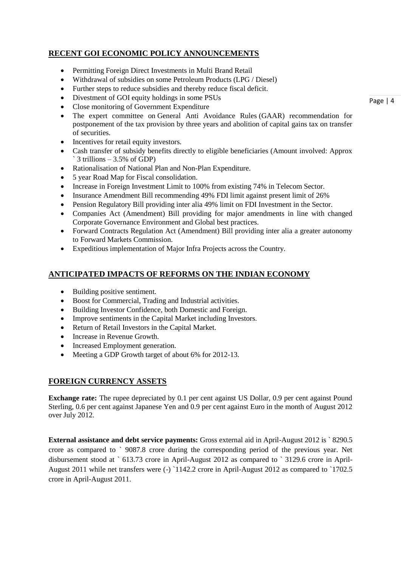# **RECENT GOI ECONOMIC POLICY ANNOUNCEMENTS**

- Permitting Foreign Direct Investments in Multi Brand Retail
- Withdrawal of subsidies on some Petroleum Products (LPG / Diesel)
- Further steps to reduce subsidies and thereby reduce fiscal deficit.
- Divestment of GOI equity holdings in some PSUs
- Close monitoring of Government Expenditure
- The expert committee on [General Anti Avoidance Rules](http://timesofindia.indiatimes.com/topic/General-Anti-Avoidance-Rules) (GAAR) recommendation for postponement of the tax provision by three years and abolition of capital gains tax on transfer of securities.
- Incentives for retail equity investors.
- Cash transfer of subsidy benefits directly to eligible beneficiaries (Amount involved: Approx  $\degree$  3 trillions – 3.5% of GDP)
- Rationalisation of National Plan and Non-Plan Expenditure.
- 5 year Road Map for Fiscal consolidation.
- Increase in Foreign Investment Limit to 100% from existing 74% in Telecom Sector.
- Insurance Amendment Bill recommending 49% FDI limit against present limit of 26%
- Pension Regulatory Bill providing inter alia 49% limit on FDI Investment in the Sector.
- Companies Act (Amendment) Bill providing for major amendments in line with changed Corporate Governance Environment and Global best practices.
- Forward Contracts Regulation Act (Amendment) Bill providing inter alia a greater autonomy to Forward Markets Commission.
- Expeditious implementation of Major Infra Projects across the Country.

# **ANTICIPATED IMPACTS OF REFORMS ON THE INDIAN ECONOMY**

- Building positive sentiment.
- Boost for Commercial, Trading and Industrial activities.
- Building Investor Confidence, both Domestic and Foreign.
- Improve sentiments in the Capital Market including Investors.
- Return of Retail Investors in the Capital Market.
- Increase in Revenue Growth.
- Increased Employment generation.
- Meeting a GDP Growth target of about 6% for 2012-13.

# **FOREIGN CURRENCY ASSETS**

**Exchange rate:** The rupee depreciated by 0.1 per cent against US Dollar, 0.9 per cent against Pound Sterling, 0.6 per cent against Japanese Yen and 0.9 per cent against Euro in the month of August 2012 over July 2012.

**External assistance and debt service payments:** Gross external aid in April-August 2012 is ` 8290.5 crore as compared to ` 9087.8 crore during the corresponding period of the previous year. Net disbursement stood at `613.73 crore in April-August 2012 as compared to `3129.6 crore in April-August 2011 while net transfers were (-) `1142.2 crore in April-August 2012 as compared to `1702.5 crore in April-August 2011.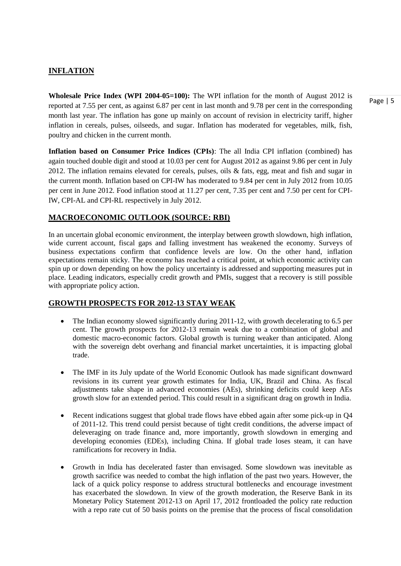# **INFLATION**

**Wholesale Price Index (WPI 2004-05=100):** The WPI inflation for the month of August 2012 is reported at 7.55 per cent, as against 6.87 per cent in last month and 9.78 per cent in the corresponding month last year. The inflation has gone up mainly on account of revision in electricity tariff, higher inflation in cereals, pulses, oilseeds, and sugar. Inflation has moderated for vegetables, milk, fish, poultry and chicken in the current month.

**Inflation based on Consumer Price Indices (CPIs)**: The all India CPI inflation (combined) has again touched double digit and stood at 10.03 per cent for August 2012 as against 9.86 per cent in July 2012. The inflation remains elevated for cereals, pulses, oils & fats, egg, meat and fish and sugar in the current month. Inflation based on CPI-IW has moderated to 9.84 per cent in July 2012 from 10.05 per cent in June 2012. Food inflation stood at 11.27 per cent, 7.35 per cent and 7.50 per cent for CPI-IW, CPI-AL and CPI-RL respectively in July 2012.

# **MACROECONOMIC OUTLOOK (SOURCE: RBI)**

In an uncertain global economic environment, the interplay between growth slowdown, high inflation, wide current account, fiscal gaps and falling investment has weakened the economy. Surveys of business expectations confirm that confidence levels are low. On the other hand, inflation expectations remain sticky. The economy has reached a critical point, at which economic activity can spin up or down depending on how the policy uncertainty is addressed and supporting measures put in place. Leading indicators, especially credit growth and PMIs, suggest that a recovery is still possible with appropriate policy action.

#### **GROWTH PROSPECTS FOR 2012-13 STAY WEAK**

- The Indian economy slowed significantly during 2011-12, with growth decelerating to 6.5 per cent. The growth prospects for 2012-13 remain weak due to a combination of global and domestic macro-economic factors. Global growth is turning weaker than anticipated. Along with the sovereign debt overhang and financial market uncertainties, it is impacting global trade.
- The IMF in its July update of the World Economic Outlook has made significant downward revisions in its current year growth estimates for India, UK, Brazil and China. As fiscal adjustments take shape in advanced economies (AEs), shrinking deficits could keep AEs growth slow for an extended period. This could result in a significant drag on growth in India.
- Recent indications suggest that global trade flows have ebbed again after some pick-up in Q4 of 2011-12. This trend could persist because of tight credit conditions, the adverse impact of deleveraging on trade finance and, more importantly, growth slowdown in emerging and developing economies (EDEs), including China. If global trade loses steam, it can have ramifications for recovery in India.
- Growth in India has decelerated faster than envisaged. Some slowdown was inevitable as growth sacrifice was needed to combat the high inflation of the past two years. However, the lack of a quick policy response to address structural bottlenecks and encourage investment has exacerbated the slowdown. In view of the growth moderation, the Reserve Bank in its Monetary Policy Statement 2012-13 on April 17, 2012 frontloaded the policy rate reduction with a repo rate cut of 50 basis points on the premise that the process of fiscal consolidation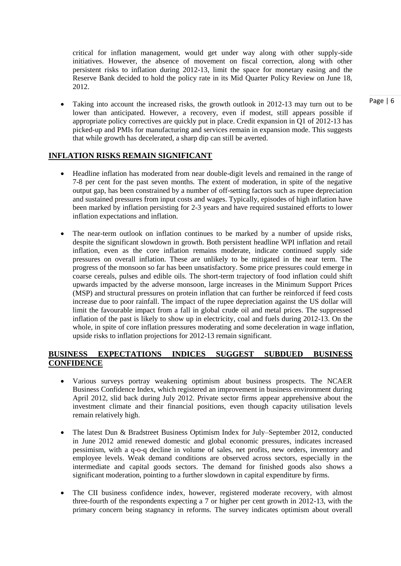critical for inflation management, would get under way along with other supply-side initiatives. However, the absence of movement on fiscal correction, along with other persistent risks to inflation during 2012-13, limit the space for monetary easing and the Reserve Bank decided to hold the policy rate in its Mid Quarter Policy Review on June 18, 2012.

• Taking into account the increased risks, the growth outlook in 2012-13 may turn out to be lower than anticipated. However, a recovery, even if modest, still appears possible if appropriate policy correctives are quickly put in place. Credit expansion in Q1 of 2012-13 has picked-up and PMIs for manufacturing and services remain in expansion mode. This suggests that while growth has decelerated, a sharp dip can still be averted.

# **INFLATION RISKS REMAIN SIGNIFICANT**

- Headline inflation has moderated from near double-digit levels and remained in the range of 7-8 per cent for the past seven months. The extent of moderation, in spite of the negative output gap, has been constrained by a number of off-setting factors such as rupee depreciation and sustained pressures from input costs and wages. Typically, episodes of high inflation have been marked by inflation persisting for 2-3 years and have required sustained efforts to lower inflation expectations and inflation.
- The near-term outlook on inflation continues to be marked by a number of upside risks, despite the significant slowdown in growth. Both persistent headline WPI inflation and retail inflation, even as the core inflation remains moderate, indicate continued supply side pressures on overall inflation. These are unlikely to be mitigated in the near term. The progress of the monsoon so far has been unsatisfactory. Some price pressures could emerge in coarse cereals, pulses and edible oils. The short-term trajectory of food inflation could shift upwards impacted by the adverse monsoon, large increases in the Minimum Support Prices (MSP) and structural pressures on protein inflation that can further be reinforced if feed costs increase due to poor rainfall. The impact of the rupee depreciation against the US dollar will limit the favourable impact from a fall in global crude oil and metal prices. The suppressed inflation of the past is likely to show up in electricity, coal and fuels during 2012-13. On the whole, in spite of core inflation pressures moderating and some deceleration in wage inflation, upside risks to inflation projections for 2012-13 remain significant.

# **BUSINESS EXPECTATIONS INDICES SUGGEST SUBDUED BUSINESS CONFIDENCE**

- Various surveys portray weakening optimism about business prospects. The NCAER Business Confidence Index, which registered an improvement in business environment during April 2012, slid back during July 2012. Private sector firms appear apprehensive about the investment climate and their financial positions, even though capacity utilisation levels remain relatively high.
- The latest Dun & Bradstreet Business Optimism Index for July–September 2012, conducted in June 2012 amid renewed domestic and global economic pressures, indicates increased pessimism, with a q-o-q decline in volume of sales, net profits, new orders, inventory and employee levels. Weak demand conditions are observed across sectors, especially in the intermediate and capital goods sectors. The demand for finished goods also shows a significant moderation, pointing to a further slowdown in capital expenditure by firms.
- The CII business confidence index, however, registered moderate recovery, with almost three-fourth of the respondents expecting a 7 or higher per cent growth in 2012-13, with the primary concern being stagnancy in reforms. The survey indicates optimism about overall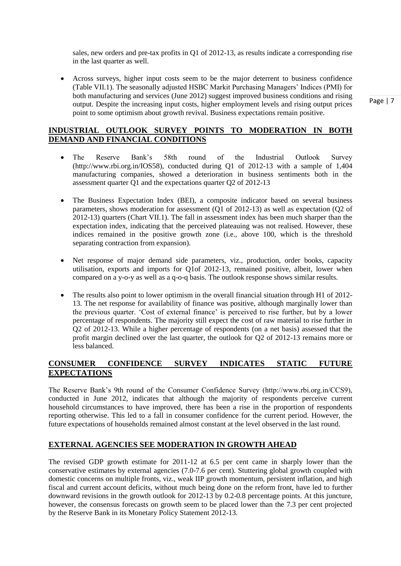sales, new orders and pre-tax profits in Q1 of 2012-13, as results indicate a corresponding rise in the last quarter as well.

 Across surveys, higher input costs seem to be the major deterrent to business confidence (Table VII.1). The seasonally adjusted HSBC Markit Purchasing Managers' Indices (PMI) for both manufacturing and services (June 2012) suggest improved business conditions and rising output. Despite the increasing input costs, higher employment levels and rising output prices point to some optimism about growth revival. Business expectations remain positive.

#### **INDUSTRIAL OUTLOOK SURVEY POINTS TO MODERATION IN BOTH DEMAND AND FINANCIAL CONDITIONS**

- The Reserve Bank's 58th round of the Industrial Outlook Survey (http://www.rbi.org.in/IOS58), conducted during Q1 of 2012-13 with a sample of 1,404 manufacturing companies, showed a deterioration in business sentiments both in the assessment quarter Q1 and the expectations quarter Q2 of 2012-13
- The Business Expectation Index (BEI), a composite indicator based on several business parameters, shows moderation for assessment (Q1 of 2012-13) as well as expectation (Q2 of 2012-13) quarters (Chart VII.1). The fall in assessment index has been much sharper than the expectation index, indicating that the perceived plateauing was not realised. However, these indices remained in the positive growth zone (i.e., above 100, which is the threshold separating contraction from expansion).
- Net response of major demand side parameters, viz., production, order books, capacity utilisation, exports and imports for Q1of 2012-13, remained positive, albeit, lower when compared on a y-o-y as well as a q-o-q basis. The outlook response shows similar results.
- The results also point to lower optimism in the overall financial situation through H1 of 2012-13. The net response for availability of finance was positive, although marginally lower than the previous quarter. ‗Cost of external finance' is perceived to rise further, but by a lower percentage of respondents. The majority still expect the cost of raw material to rise further in Q2 of 2012-13. While a higher percentage of respondents (on a net basis) assessed that the profit margin declined over the last quarter, the outlook for Q2 of 2012-13 remains more or less balanced.

#### **CONSUMER CONFIDENCE SURVEY INDICATES STATIC FUTURE EXPECTATIONS**

The Reserve Bank's 9th round of the Consumer Confidence Survey (http://www.rbi.org.in/CCS9), conducted in June 2012, indicates that although the majority of respondents perceive current household circumstances to have improved, there has been a rise in the proportion of respondents reporting otherwise. This led to a fall in consumer confidence for the current period. However, the future expectations of households remained almost constant at the level observed in the last round.

#### **EXTERNAL AGENCIES SEE MODERATION IN GROWTH AHEAD**

The revised GDP growth estimate for 2011-12 at 6.5 per cent came in sharply lower than the conservative estimates by external agencies (7.0-7.6 per cent). Stuttering global growth coupled with domestic concerns on multiple fronts, viz., weak IIP growth momentum, persistent inflation, and high fiscal and current account deficits, without much being done on the reform front, have led to further downward revisions in the growth outlook for 2012-13 by 0.2-0.8 percentage points. At this juncture, however, the consensus forecasts on growth seem to be placed lower than the 7.3 per cent projected by the Reserve Bank in its Monetary Policy Statement 2012-13.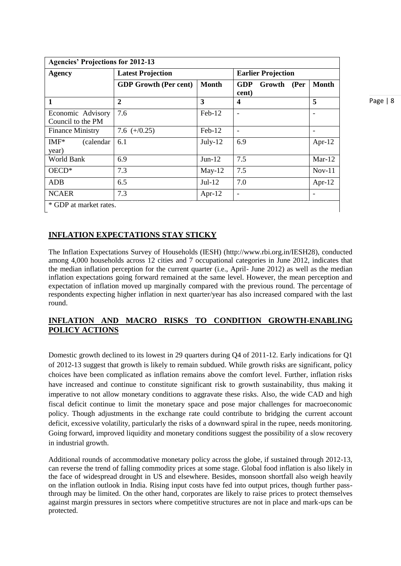| <b>Agencies' Projections for 2012-13</b> |                              |                           |                                 |                          |  |  |  |  |
|------------------------------------------|------------------------------|---------------------------|---------------------------------|--------------------------|--|--|--|--|
| <b>Agency</b>                            | <b>Latest Projection</b>     | <b>Earlier Projection</b> |                                 |                          |  |  |  |  |
|                                          | <b>GDP Growth (Per cent)</b> | <b>Month</b>              | GDP<br>Growth<br>(Per)<br>cent) | <b>Month</b>             |  |  |  |  |
| 1                                        | $\boldsymbol{2}$             | 3                         | 4                               | 5                        |  |  |  |  |
| Economic Advisory<br>Council to the PM   | 7.6                          | Feb-12                    |                                 |                          |  |  |  |  |
| <b>Finance Ministry</b>                  | 7.6 $(+/0.25)$               | $Feb-12$                  |                                 | $\overline{\phantom{a}}$ |  |  |  |  |
| $IMF*$<br>(calendar)<br>year)            | 6.1                          | $July-12$                 | 6.9                             | Apr- $12$                |  |  |  |  |
| World Bank                               | 6.9                          | $Jun-12$                  | 7.5                             | $Mar-12$                 |  |  |  |  |
| $OECD*$                                  | 7.3                          | $May-12$                  | 7.5                             | $Nov-11$                 |  |  |  |  |
| <b>ADB</b>                               | 6.5                          | $Jul-12$                  | 7.0                             | Apr- $12$                |  |  |  |  |
| <b>NCAER</b>                             | 7.3                          | Apr- $12$                 |                                 | $\overline{\phantom{a}}$ |  |  |  |  |
| * GDP at market rates.                   |                              |                           |                                 |                          |  |  |  |  |

**INFLATION EXPECTATIONS STAY STICKY**

The Inflation Expectations Survey of Households (IESH) (http://www.rbi.org.in/IESH28), conducted among 4,000 households across 12 cities and 7 occupational categories in June 2012, indicates that the median inflation perception for the current quarter (i.e., April- June 2012) as well as the median inflation expectations going forward remained at the same level. However, the mean perception and expectation of inflation moved up marginally compared with the previous round. The percentage of respondents expecting higher inflation in next quarter/year has also increased compared with the last round.

# **INFLATION AND MACRO RISKS TO CONDITION GROWTH-ENABLING POLICY ACTIONS**

Domestic growth declined to its lowest in 29 quarters during Q4 of 2011-12. Early indications for Q1 of 2012-13 suggest that growth is likely to remain subdued. While growth risks are significant, policy choices have been complicated as inflation remains above the comfort level. Further, inflation risks have increased and continue to constitute significant risk to growth sustainability, thus making it imperative to not allow monetary conditions to aggravate these risks. Also, the wide CAD and high fiscal deficit continue to limit the monetary space and pose major challenges for macroeconomic policy. Though adjustments in the exchange rate could contribute to bridging the current account deficit, excessive volatility, particularly the risks of a downward spiral in the rupee, needs monitoring. Going forward, improved liquidity and monetary conditions suggest the possibility of a slow recovery in industrial growth.

Additional rounds of accommodative monetary policy across the globe, if sustained through 2012-13, can reverse the trend of falling commodity prices at some stage. Global food inflation is also likely in the face of widespread drought in US and elsewhere. Besides, monsoon shortfall also weigh heavily on the inflation outlook in India. Rising input costs have fed into output prices, though further passthrough may be limited. On the other hand, corporates are likely to raise prices to protect themselves against margin pressures in sectors where competitive structures are not in place and mark-ups can be protected.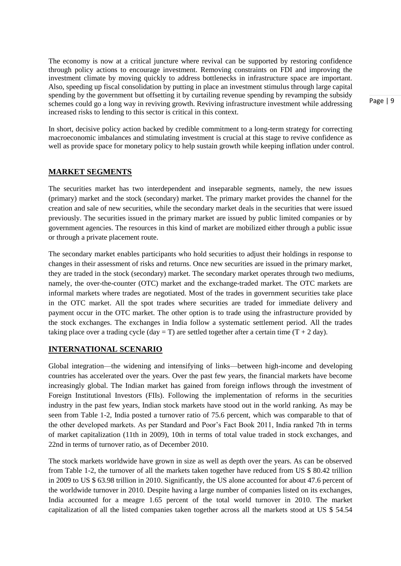The economy is now at a critical juncture where revival can be supported by restoring confidence through policy actions to encourage investment. Removing constraints on FDI and improving the investment climate by moving quickly to address bottlenecks in infrastructure space are important. Also, speeding up fiscal consolidation by putting in place an investment stimulus through large capital spending by the government but offsetting it by curtailing revenue spending by revamping the subsidy schemes could go a long way in reviving growth. Reviving infrastructure investment while addressing increased risks to lending to this sector is critical in this context.

In short, decisive policy action backed by credible commitment to a long-term strategy for correcting macroeconomic imbalances and stimulating investment is crucial at this stage to revive confidence as well as provide space for monetary policy to help sustain growth while keeping inflation under control.

#### **MARKET SEGMENTS**

The securities market has two interdependent and inseparable segments, namely, the new issues (primary) market and the stock (secondary) market. The primary market provides the channel for the creation and sale of new securities, while the secondary market deals in the securities that were issued previously. The securities issued in the primary market are issued by public limited companies or by government agencies. The resources in this kind of market are mobilized either through a public issue or through a private placement route.

The secondary market enables participants who hold securities to adjust their holdings in response to changes in their assessment of risks and returns. Once new securities are issued in the primary market, they are traded in the stock (secondary) market. The secondary market operates through two mediums, namely, the over-the-counter (OTC) market and the exchange-traded market. The OTC markets are informal markets where trades are negotiated. Most of the trades in government securities take place in the OTC market. All the spot trades where securities are traded for immediate delivery and payment occur in the OTC market. The other option is to trade using the infrastructure provided by the stock exchanges. The exchanges in India follow a systematic settlement period. All the trades taking place over a trading cycle ( $day = T$ ) are settled together after a certain time  $(T + 2 day)$ .

#### **INTERNATIONAL SCENARIO**

Global integration—the widening and intensifying of links—between high-income and developing countries has accelerated over the years. Over the past few years, the financial markets have become increasingly global. The Indian market has gained from foreign inflows through the investment of Foreign Institutional Investors (FIIs). Following the implementation of reforms in the securities industry in the past few years, Indian stock markets have stood out in the world ranking. As may be seen from Table 1-2, India posted a turnover ratio of 75.6 percent, which was comparable to that of the other developed markets. As per Standard and Poor's Fact Book 2011, India ranked 7th in terms of market capitalization (11th in 2009), 10th in terms of total value traded in stock exchanges, and 22nd in terms of turnover ratio, as of December 2010.

The stock markets worldwide have grown in size as well as depth over the years. As can be observed from Table 1-2, the turnover of all the markets taken together have reduced from US \$ 80.42 trillion in 2009 to US \$ 63.98 trillion in 2010. Significantly, the US alone accounted for about 47.6 percent of the worldwide turnover in 2010. Despite having a large number of companies listed on its exchanges, India accounted for a meagre 1.65 percent of the total world turnover in 2010. The market capitalization of all the listed companies taken together across all the markets stood at US \$ 54.54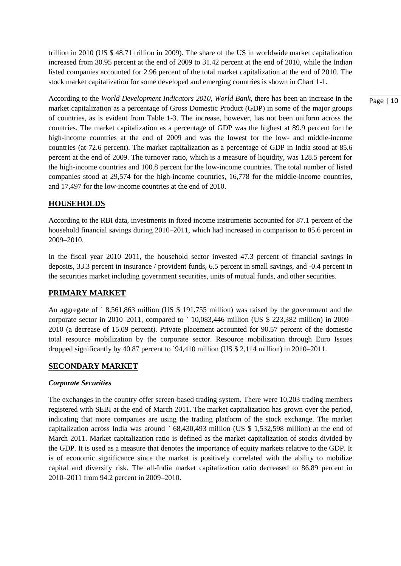trillion in 2010 (US \$ 48.71 trillion in 2009). The share of the US in worldwide market capitalization increased from 30.95 percent at the end of 2009 to 31.42 percent at the end of 2010, while the Indian listed companies accounted for 2.96 percent of the total market capitalization at the end of 2010. The stock market capitalization for some developed and emerging countries is shown in Chart 1-1.

According to the *World Development Indicators 2010, World Bank*, there has been an increase in the market capitalization as a percentage of Gross Domestic Product (GDP) in some of the major groups of countries, as is evident from Table 1-3. The increase, however, has not been uniform across the countries. The market capitalization as a percentage of GDP was the highest at 89.9 percent for the high-income countries at the end of 2009 and was the lowest for the low- and middle-income countries (at 72.6 percent). The market capitalization as a percentage of GDP in India stood at 85.6 percent at the end of 2009. The turnover ratio, which is a measure of liquidity, was 128.5 percent for the high-income countries and 100.8 percent for the low-income countries. The total number of listed companies stood at 29,574 for the high-income countries, 16,778 for the middle-income countries, and 17,497 for the low-income countries at the end of 2010.

# **HOUSEHOLDS**

According to the RBI data, investments in fixed income instruments accounted for 87.1 percent of the household financial savings during 2010–2011, which had increased in comparison to 85.6 percent in 2009–2010.

In the fiscal year 2010–2011, the household sector invested 47.3 percent of financial savings in deposits, 33.3 percent in insurance / provident funds, 6.5 percent in small savings, and -0.4 percent in the securities market including government securities, units of mutual funds, and other securities.

#### **PRIMARY MARKET**

An aggregate of ` 8,561,863 million (US \$ 191,755 million) was raised by the government and the corporate sector in 2010–2011, compared to ` 10,083,446 million (US \$ 223,382 million) in 2009– 2010 (a decrease of 15.09 percent). Private placement accounted for 90.57 percent of the domestic total resource mobilization by the corporate sector. Resource mobilization through Euro Issues dropped significantly by 40.87 percent to `94,410 million (US \$ 2,114 million) in 2010–2011.

#### **SECONDARY MARKET**

#### *Corporate Securities*

The exchanges in the country offer screen-based trading system. There were 10,203 trading members registered with SEBI at the end of March 2011. The market capitalization has grown over the period, indicating that more companies are using the trading platform of the stock exchange. The market capitalization across India was around ` 68,430,493 million (US \$ 1,532,598 million) at the end of March 2011. Market capitalization ratio is defined as the market capitalization of stocks divided by the GDP. It is used as a measure that denotes the importance of equity markets relative to the GDP. It is of economic significance since the market is positively correlated with the ability to mobilize capital and diversify risk. The all-India market capitalization ratio decreased to 86.89 percent in 2010–2011 from 94.2 percent in 2009–2010.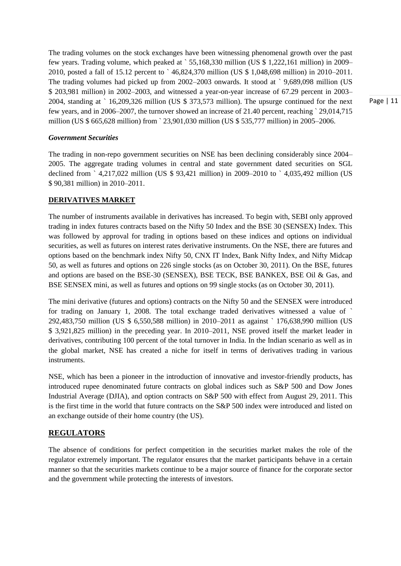The trading volumes on the stock exchanges have been witnessing phenomenal growth over the past few years. Trading volume, which peaked at ` 55,168,330 million (US \$ 1,222,161 million) in 2009– 2010, posted a fall of 15.12 percent to ` 46,824,370 million (US \$ 1,048,698 million) in 2010–2011. The trading volumes had picked up from 2002–2003 onwards. It stood at ` 9,689,098 million (US \$ 203,981 million) in 2002–2003, and witnessed a year-on-year increase of 67.29 percent in 2003– 2004, standing at ` 16,209,326 million (US \$ 373,573 million). The upsurge continued for the next few years, and in 2006–2007, the turnover showed an increase of 21.40 percent, reaching ` 29,014,715 million (US \$ 665,628 million) from ` 23,901,030 million (US \$ 535,777 million) in 2005–2006.

*Government Securities*

The trading in non-repo government securities on NSE has been declining considerably since 2004– 2005. The aggregate trading volumes in central and state government dated securities on SGL declined from ` 4,217,022 million (US \$ 93,421 million) in 2009–2010 to ` 4,035,492 million (US \$ 90,381 million) in 2010–2011.

# **DERIVATIVES MARKET**

The number of instruments available in derivatives has increased. To begin with, SEBI only approved trading in index futures contracts based on the Nifty 50 Index and the BSE 30 (SENSEX) Index. This was followed by approval for trading in options based on these indices and options on individual securities, as well as futures on interest rates derivative instruments. On the NSE, there are futures and options based on the benchmark index Nifty 50, CNX IT Index, Bank Nifty Index, and Nifty Midcap 50, as well as futures and options on 226 single stocks (as on October 30, 2011). On the BSE, futures and options are based on the BSE-30 (SENSEX), BSE TECK, BSE BANKEX, BSE Oil & Gas, and BSE SENSEX mini, as well as futures and options on 99 single stocks (as on October 30, 2011).

The mini derivative (futures and options) contracts on the Nifty 50 and the SENSEX were introduced for trading on January 1, 2008. The total exchange traded derivatives witnessed a value of ` 292,483,750 million (US \$ 6,550,588 million) in 2010–2011 as against ` 176,638,990 million (US \$ 3,921,825 million) in the preceding year. In 2010–2011, NSE proved itself the market leader in derivatives, contributing 100 percent of the total turnover in India. In the Indian scenario as well as in the global market, NSE has created a niche for itself in terms of derivatives trading in various instruments.

NSE, which has been a pioneer in the introduction of innovative and investor-friendly products, has introduced rupee denominated future contracts on global indices such as S&P 500 and Dow Jones Industrial Average (DJIA), and option contracts on S&P 500 with effect from August 29, 2011. This is the first time in the world that future contracts on the S&P 500 index were introduced and listed on an exchange outside of their home country (the US).

# **REGULATORS**

The absence of conditions for perfect competition in the securities market makes the role of the regulator extremely important. The regulator ensures that the market participants behave in a certain manner so that the securities markets continue to be a major source of finance for the corporate sector and the government while protecting the interests of investors.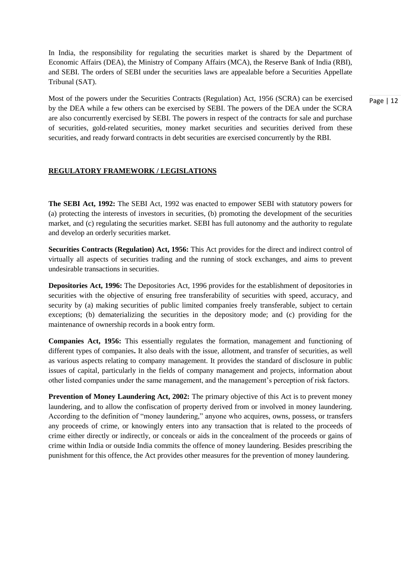In India, the responsibility for regulating the securities market is shared by the Department of Economic Affairs (DEA), the Ministry of Company Affairs (MCA), the Reserve Bank of India (RBI), and SEBI. The orders of SEBI under the securities laws are appealable before a Securities Appellate Tribunal (SAT).

Most of the powers under the Securities Contracts (Regulation) Act, 1956 (SCRA) can be exercised by the DEA while a few others can be exercised by SEBI. The powers of the DEA under the SCRA are also concurrently exercised by SEBI. The powers in respect of the contracts for sale and purchase of securities, gold-related securities, money market securities and securities derived from these securities, and ready forward contracts in debt securities are exercised concurrently by the RBI.

#### **REGULATORY FRAMEWORK / LEGISLATIONS**

**The SEBI Act, 1992:** The SEBI Act, 1992 was enacted to empower SEBI with statutory powers for (a) protecting the interests of investors in securities, (b) promoting the development of the securities market, and (c) regulating the securities market. SEBI has full autonomy and the authority to regulate and develop an orderly securities market.

**Securities Contracts (Regulation) Act, 1956:** This Act provides for the direct and indirect control of virtually all aspects of securities trading and the running of stock exchanges, and aims to prevent undesirable transactions in securities.

**Depositories Act, 1996:** The Depositories Act, 1996 provides for the establishment of depositories in securities with the objective of ensuring free transferability of securities with speed, accuracy, and security by (a) making securities of public limited companies freely transferable, subject to certain exceptions; (b) dematerializing the securities in the depository mode; and (c) providing for the maintenance of ownership records in a book entry form.

**Companies Act, 1956:** This essentially regulates the formation, management and functioning of different types of companies**.** It also deals with the issue, allotment, and transfer of securities, as well as various aspects relating to company management. It provides the standard of disclosure in public issues of capital, particularly in the fields of company management and projects, information about other listed companies under the same management, and the management's perception of risk factors.

**Prevention of Money Laundering Act, 2002:** The primary objective of this Act is to prevent money laundering, and to allow the confiscation of property derived from or involved in money laundering. According to the definition of "money laundering," anyone who acquires, owns, possess, or transfers any proceeds of crime, or knowingly enters into any transaction that is related to the proceeds of crime either directly or indirectly, or conceals or aids in the concealment of the proceeds or gains of crime within India or outside India commits the offence of money laundering. Besides prescribing the punishment for this offence, the Act provides other measures for the prevention of money laundering.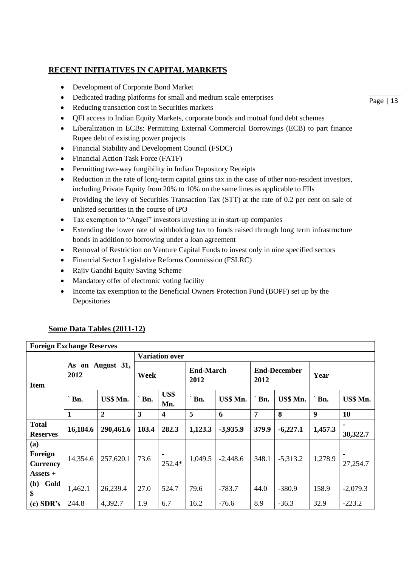# **RECENT INITIATIVES IN CAPITAL MARKETS**

- Development of Corporate Bond Market
- Dedicated trading platforms for small and medium scale enterprises
- Reducing transaction cost in Securities markets
- QFI access to Indian Equity Markets, corporate bonds and mutual fund debt schemes
- Liberalization in ECBs: Permitting External Commercial Borrowings (ECB) to part finance Rupee debt of existing power projects
- Financial Stability and Development Council (FSDC)
- Financial Action Task Force (FATF)
- Permitting two-way fungibility in Indian Depository Receipts
- Reduction in the rate of long-term capital gains tax in the case of other non-resident investors, including Private Equity from 20% to 10% on the same lines as applicable to FIIs
- Providing the levy of Securities Transaction Tax (STT) at the rate of 0.2 per cent on sale of unlisted securities in the course of IPO
- Tax exemption to "Angel" investors investing in in start-up companies
- Extending the lower rate of withholding tax to funds raised through long term infrastructure bonds in addition to borrowing under a loan agreement
- Removal of Restriction on Venture Capital Funds to invest only in nine specified sectors
- Financial Sector Legislative Reforms Commission (FSLRC)
- Rajiv Gandhi Equity Saving Scheme
- Mandatory offer of electronic voting facility
- Income tax exemption to the Beneficial Owners Protection Fund (BOPF) set up by the Depositories

# **Some Data Tables (2011-12)**

**Foreign Exchange Reserves**

| FUITELLE EXCHANGE RESERVES |                          |                |                         |                       |                          |            |                             |            |                  |            |  |
|----------------------------|--------------------------|----------------|-------------------------|-----------------------|--------------------------|------------|-----------------------------|------------|------------------|------------|--|
|                            |                          |                |                         | <b>Variation over</b> |                          |            |                             |            |                  |            |  |
| <b>Item</b>                | As on August 31,<br>2012 |                | Week                    |                       | <b>End-March</b><br>2012 |            | <b>End-December</b><br>2012 |            | Year             |            |  |
|                            | Bn.                      | US\$ Mn.       | Bn.                     | US\$<br>Mn.           | Bn.                      | US\$ Mn.   | $\Delta$ Bn.                | US\$ Mn.   | Bn.              | US\$ Mn.   |  |
|                            | $\mathbf{1}$             | $\overline{2}$ | $\overline{\mathbf{3}}$ | $\boldsymbol{4}$      | 5                        | 6          | 7                           | 8          | $\boldsymbol{9}$ | 10         |  |
| <b>Total</b>               | 16,184.6                 | 290,461.6      | 103.4                   | 282.3                 | 1,123.3                  | $-3,935.9$ | 379.9                       | $-6,227.1$ | 1,457.3          | ۰          |  |
| <b>Reserves</b>            |                          |                |                         |                       |                          |            |                             |            |                  | 30,322.7   |  |
| (a)                        |                          |                |                         |                       |                          |            |                             |            |                  |            |  |
| Foreign                    | 14,354.6                 | 257,620.1      | 73.6                    |                       | 1,049.5                  | $-2,448.6$ | 348.1                       | $-5,313.2$ | 1,278.9          |            |  |
| <b>Currency</b>            |                          |                |                         | 252.4*                |                          |            |                             |            |                  | 27,254.7   |  |
| $\textbf{Assets} +$        |                          |                |                         |                       |                          |            |                             |            |                  |            |  |
| Gold<br>(b)<br>\$          | 1,462.1                  | 26,239.4       | 27.0                    | 524.7                 | 79.6                     | $-783.7$   | 44.0                        | $-380.9$   | 158.9            | $-2,079.3$ |  |
| $(c)$ SDR's                | 244.8                    | 4,392.7        | 1.9                     | 6.7                   | 16.2                     | $-76.6$    | 8.9                         | $-36.3$    | 32.9             | $-223.2$   |  |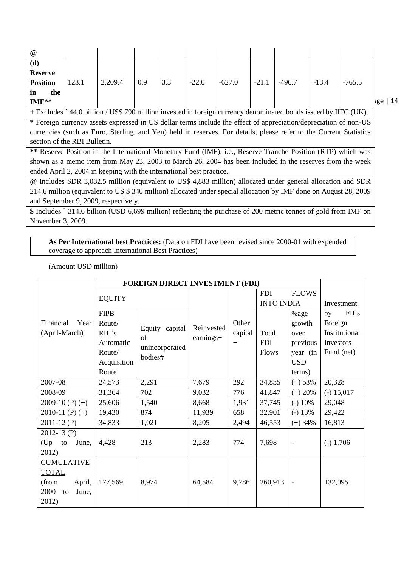| $\omega$                                                                                                        |       |         |     |     |         |        |         |          |         |          |     |
|-----------------------------------------------------------------------------------------------------------------|-------|---------|-----|-----|---------|--------|---------|----------|---------|----------|-----|
| (d)                                                                                                             |       |         |     |     |         |        |         |          |         |          |     |
| <b>Reserve</b>                                                                                                  |       |         |     |     |         |        |         |          |         |          |     |
| <b>Position</b>                                                                                                 | 123.1 | 2,209.4 | 0.9 | 3.3 | $-22.0$ | -627.0 | $-21.1$ | $-496.7$ | $-13.4$ | $-765.5$ |     |
| in<br>the                                                                                                       |       |         |     |     |         |        |         |          |         |          |     |
| $IMF**$                                                                                                         |       |         |     |     |         |        |         |          |         |          | age |
| + Excludes `44.0 billion / US\$ 790 million invested in foreign currency denominated bonds issued by IIFC (UK). |       |         |     |     |         |        |         |          |         |          |     |

 $14$ 

**\*** Foreign currency assets expressed in US dollar terms include the effect of appreciation/depreciation of non-US currencies (such as Euro, Sterling, and Yen) held in reserves. For details, please refer to the Current Statistics section of the RBI Bulletin.

**\*\*** Reserve Position in the International Monetary Fund (IMF), i.e., Reserve Tranche Position (RTP) which was shown as a memo item from May 23, 2003 to March 26, 2004 has been included in the reserves from the week ended April 2, 2004 in keeping with the international best practice.

**@** Includes SDR 3,082.5 million (equivalent to US\$ 4,883 million) allocated under general allocation and SDR 214.6 million (equivalent to US \$ 340 million) allocated under special allocation by IMF done on August 28, 2009 and September 9, 2009, respectively.

**\$** Includes ` 314.6 billion (USD 6,699 million) reflecting the purchase of 200 metric tonnes of gold from IMF on November 3, 2009.

**As Per International best Practices:** (Data on FDI have been revised since 2000-01 with expended coverage to approach International Best Practices)

(Amount USD million)

|                     | FOREIGN DIRECT INVESTMENT (FDI) |                           |            |         |                   |                          |               |  |
|---------------------|---------------------------------|---------------------------|------------|---------|-------------------|--------------------------|---------------|--|
|                     | <b>EQUITY</b>                   |                           |            |         | <b>FDI</b>        | <b>FLOWS</b>             |               |  |
|                     |                                 |                           |            |         | <b>INTO INDIA</b> |                          | Investment    |  |
|                     | <b>FIPB</b>                     |                           |            |         |                   | %age                     | FH's<br>by    |  |
| Financial<br>Year   | Route/                          | Equity capital            | Reinvested | Other   |                   | growth                   | Foreign       |  |
| (April-March)       | RBI's                           | of                        | earnings+  | capital | Total             | over                     | Institutional |  |
|                     | Automatic                       |                           |            | $+$     | <b>FDI</b>        | previous                 | Investors     |  |
|                     | Route/                          | unincorporated<br>bodies# |            |         | Flows             | year (in                 | Fund (net)    |  |
|                     | Acquisition                     |                           |            |         |                   | <b>USD</b>               |               |  |
|                     | Route                           |                           |            |         |                   | terms)                   |               |  |
| 2007-08             | 24,573                          | 2,291                     | 7,679      | 292     | 34,835            | $(+) 53%$                | 20,328        |  |
| 2008-09             | 31,364                          | 702                       | 9,032      | 776     | 41,847            | $(+) 20%$                | $(-) 15,017$  |  |
| 2009-10 $(P)$ $(+)$ | 25,606                          | 1,540                     | 8,668      | 1,931   | 37,745            | $(-)$ 10%                | 29,048        |  |
| 2010-11 $(P)$ $(+)$ | 19,430                          | 874                       | 11,939     | 658     | 32,901            | $(-) 13%$                | 29,422        |  |
| $2011-12$ (P)       | 34,833                          | 1,021                     | 8,205      | 2,494   | 46,553            | $(+)$ 34%                | 16,813        |  |
| $2012 - 13$ (P)     |                                 |                           |            |         |                   |                          |               |  |
| $(Up$ to<br>June,   | 4,428                           | 213                       | 2,283      | 774     | 7,698             | $\overline{a}$           | $(-) 1,706$   |  |
| 2012)               |                                 |                           |            |         |                   |                          |               |  |
| <b>CUMULATIVE</b>   |                                 |                           |            |         |                   |                          |               |  |
| <b>TOTAL</b>        |                                 |                           |            |         |                   |                          |               |  |
| (from<br>April,     | 177,569                         | 8,974                     | 64,584     | 9,786   | 260,913           | $\overline{\phantom{a}}$ | 132,095       |  |
| 2000<br>June,<br>to |                                 |                           |            |         |                   |                          |               |  |
| 2012)               |                                 |                           |            |         |                   |                          |               |  |